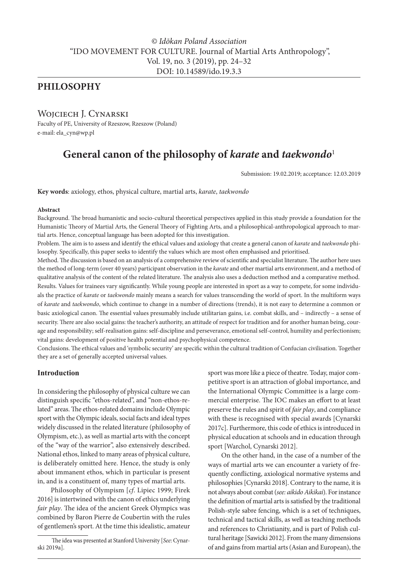# **PHILOSOPHY**

# WOJCIECH J. CYNARSKI

Faculty of PE, University of Rzeszow, Rzeszow (Poland) e-mail: ela\_cyn@wp.pl

# **General canon of the philosophy of** *karate* **and** *taekwondo*<sup>1</sup>

Submission: 19.02.2019; acceptance: 12.03.2019

**Key words**: axiology, ethos, physical culture, martial arts, *karate*, *taekwondo*

#### **Abstract**

Background. The broad humanistic and socio-cultural theoretical perspectives applied in this study provide a foundation for the Humanistic Theory of Martial Arts, the General Theory of Fighting Arts, and a philosophical-anthropological approach to martial arts. Hence, conceptual language has been adopted for this investigation.

Problem. The aim is to assess and identify the ethical values and axiology that create a general canon of *karate* and *taekwondo* philosophy. Specifically, this paper seeks to identify the values which are most often emphasised and prioritised.

Method. The discussion is based on an analysis of a comprehensive review of scientific and specialist literature. The author here uses the method of long-term (over 40 years) participant observation in the *karate* and other martial arts environment, and a method of qualitative analysis of the content of the related literature. The analysis also uses a deduction method and a comparative method. Results. Values for trainees vary significantly. While young people are interested in sport as a way to compete, for some individuals the practice of *karate* or *taekwondo* mainly means a search for values transcending the world of sport. In the multiform ways of *karate* and *taekwondo*, which continue to change in a number of directions (trends), it is not easy to determine a common or basic axiological canon. The essential values presumably include utilitarian gains, i.e. combat skills, and – indirectly – a sense of security. There are also social gains: the teacher's authority, an attitude of respect for tradition and for another human being, courage and responsibility; self-realisation gains: self-discipline and perseverance, emotional self-control, humility and perfectionism; vital gains: development of positive health potential and psychophysical competence.

Conclusions. The ethical values and 'symbolic security' are specific within the cultural tradition of Confucian civilisation. Together they are a set of generally accepted universal values.

## **Introduction**

In considering the philosophy of physical culture we can distinguish specific "ethos-related", and "non-ethos-related" areas. The ethos-related domains include Olympic sport with the Olympic ideals, social facts and ideal types widely discussed in the related literature (philosophy of Olympism, etc.), as well as martial arts with the concept of the "way of the warrior", also extensively described. National ethos, linked to many areas of physical culture, is deliberately omitted here. Hence, the study is only about immanent ethos, which in particular is present in, and is a constituent of, many types of martial arts.

Philosophy of Olympism [*cf*. Lipiec 1999; Firek 2016] is intertwined with the canon of ethics underlying *fair play*. The idea of the ancient Greek Olympics was combined by Baron Pierre de Coubertin with the rules of gentlemen's sport. At the time this idealistic, amateur

sport was more like a piece of theatre. Today, major competitive sport is an attraction of global importance, and the International Olympic Committee is a large commercial enterprise. The IOC makes an effort to at least preserve the rules and spirit of *fair play*, and compliance with these is recognised with special awards [Cynarski 2017c]. Furthermore, this code of ethics is introduced in physical education at schools and in education through sport [Warchol, Cynarski 2012].

On the other hand, in the case of a number of the ways of martial arts we can encounter a variety of frequently conflicting, axiological normative systems and philosophies [Cynarski 2018]. Contrary to the name, it is not always about combat (*see: aikido Aikikai*). For instance the definition of martial arts is satisfied by the traditional Polish-style sabre fencing, which is a set of techniques, technical and tactical skills, as well as teaching methods and references to Christianity, and is part of Polish cultural heritage [Sawicki 2012]. From the many dimensions of and gains from martial arts (Asian and European), the

The idea was presented at Stanford University [*See*: Cynarski 2019a].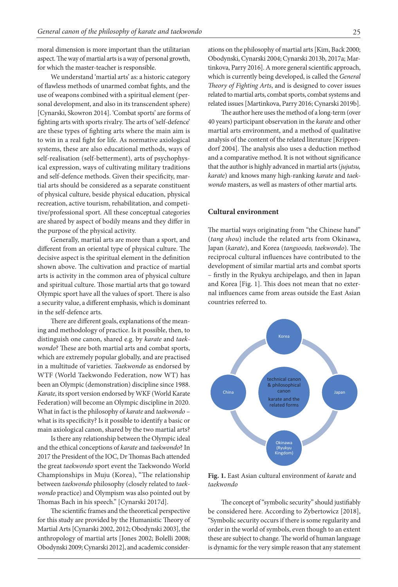moral dimension is more important than the utilitarian aspect. The way of martial arts is a way of personal growth, for which the master-teacher is responsible.

We understand 'martial arts' as: a historic category of flawless methods of unarmed combat fights, and the use of weapons combined with a spiritual element (personal development, and also in its transcendent sphere) [Cynarski, Skowron 2014]. 'Combat sports' are forms of fighting arts with sports rivalry. The arts of 'self-defence' are these types of fighting arts where the main aim is to win in a real fight for life. As normative axiological systems, these are also educational methods, ways of self-realisation (self-betterment), arts of psychophysical expression, ways of cultivating military traditions and self-defence methods. Given their specificity, martial arts should be considered as a separate constituent of physical culture, beside physical education, physical recreation, active tourism, rehabilitation, and competitive/professional sport. All these conceptual categories are shared by aspect of bodily means and they differ in the purpose of the physical activity.

Generally, martial arts are more than a sport, and different from an oriental type of physical culture. The decisive aspect is the spiritual element in the definition shown above. The cultivation and practice of martial arts is activity in the common area of physical culture and spiritual culture. Those martial arts that go toward Olympic sport have all the values of sport. There is also a security value, a different emphasis, which is dominant in the self-defence arts.

There are different goals, explanations of the meaning and methodology of practice. Is it possible, then, to distinguish one canon, shared e.g. by *karate* and *taekwondo*? These are both martial arts and combat sports, which are extremely popular globally, and are practised in a multitude of varieties. *Taekwondo* as endorsed by WTF (World Taekwondo Federation, now WT) has been an Olympic (demonstration) discipline since 1988. *Karate*, its sport version endorsed by WKF (World Karate Federation) will become an Olympic discipline in 2020. What in fact is the philosophy of *karate* and *taekwondo* – what is its specificity? Is it possible to identify a basic or main axiological canon, shared by the two martial arts?

Is there any relationship between the Olympic ideal and the ethical conceptions of *karate* and *taekwondo*? In 2017 the President of the IOC, Dr Thomas Bach attended the great *taekwondo* sport event the Taekwondo World Championships in Muju (Korea), "The relationship between *taekwondo* philosophy (closely related to *taek-***Fig. 1.** East Asian cultural environment of *karate* and *taekwondo wondo* practice) and Olympism was also pointed out by Thomas Bach in his speech." [Cynarski 2017d].

The scientific frames and the theoretical perspective for this study are provided by the Humanistic Theory of Martial Arts [Cynarski 2002, 2012; Obodynski 2003], the anthropology of martial arts [Jones 2002; Bolelli 2008; Obodynski 2009; Cynarski 2012], and academic considerations on the philosophy of martial arts [Kim, Back 2000; Obodynski, Cynarski 2004; Cynarski 2013b, 2017a; Martinkova, Parry 2016]. A more general scientific approach, which is currently being developed, is called the *General Theory of Fighting Arts*, and is designed to cover issues related to martial arts, combat sports, combat systems and related issues [Martinkova, Parry 2016; Cynarski 2019b].

The author here uses the method of a long-term (over 40 years) participant observation in the *karate* and other martial arts environment, and a method of qualitative analysis of the content of the related literature [Krippendorf 2004]. The analysis also uses a deduction method and a comparative method. It is not without significance that the author is highly advanced in martial arts (*jujutsu, karate*) and knows many high-ranking *karate* and *taekwondo* masters, as well as masters of other martial arts.

#### **Cultural environment**

The martial ways originating from "the Chinese hand" (*tang shou*) include the related arts from Okinawa, Japan (*karate*), and Korea (*tangsoodo, taekwondo*). The reciprocal cultural influences have contributed to the development of similar martial arts and combat sports – firstly in the Ryukyu archipelago, and then in Japan and Korea [Fig. 1]. This does not mean that no external influences came from areas outside the East Asian countries referred to.



**Fig. 1.** East Asian cultural environment of *karate* and *taekwondo*

7d]. The concept of "symbolic security" should justifiably l perspective be considered here. According to Zybertowicz [2018], ic Theory of "Symbolic security occurs if there is some regularity and ki 2003], the order in the world of symbols, even though to an extent 3olelli 2008; these are subject to change. The world of human language My own hypothesis says that, both in the first and the second system of culture in East Asian is dynamic for the very simple reason that any statement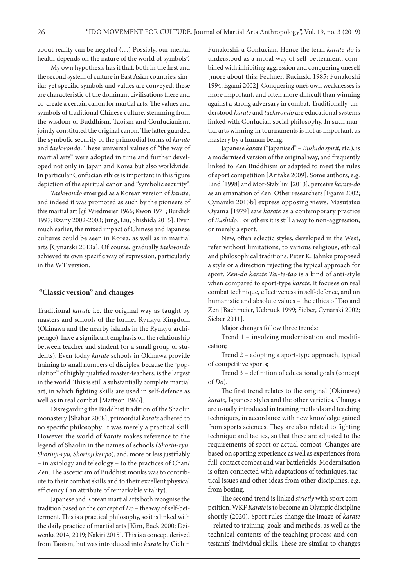about reality can be negated (…) Possibly, our mental health depends on the nature of the world of symbols".

My own hypothesis has it that, both in the first and the second system of culture in East Asian countries, similar yet specific symbols and values are conveyed; these are characteristic of the dominant civilisations there and co-create a certain canon for martial arts. The values and symbols of traditional Chinese culture, stemming from the wisdom of Buddhism, Taoism and Confucianism, jointly constituted the original canon. The latter guarded the symbolic security of the primordial forms of *karate* and *taekwondo*. These universal values of "the way of martial arts" were adopted in time and further developed not only in Japan and Korea but also worldwide. In particular Confucian ethics is important in this figure depiction of the spiritual canon and "symbolic security".

*Taekwondo* emerged as a Korean version of *karate*, and indeed it was promoted as such by the pioneers of this martial art [*cf*. Wiedmeier 1966; Kwon 1971; Burdick 1997; Rzany 2002-2003; Jung, Liu, Shishida 2015]. Even much earlier, the mixed impact of Chinese and Japanese cultures could be seen in Korea, as well as in martial arts [Cynarski 2013a]. Of course, gradually *taekwondo* achieved its own specific way of expression, particularly in the WT version.

#### **"Classic version" and changes**

Traditional *karate* i.e. the original way as taught by masters and schools of the former Ryukyu Kingdom (Okinawa and the nearby islands in the Ryukyu archipelago), have a significant emphasis on the relationship between teacher and student (or a small group of students). Even today *karate* schools in Okinawa provide training to small numbers of disciples, because the "population" of highly qualified master-teachers, is the largest in the world. This is still a substantially complete martial art, in which fighting skills are used in self-defence as well as in real combat [Mattson 1963].

Disregarding the Buddhist tradition of the Shaolin monastery [Shahar 2008], primordial *karate* adhered to no specific philosophy. It was merely a practical skill. However the world of *karate* makes reference to the legend of Shaolin in the names of schools (*Shorin-ryu, Shorinji-ryu, Shorinji kenpo*), and, more or less justifiably – in axiology and teleology – to the practices of Chan/ Zen. The asceticism of Buddhist monks was to contribute to their combat skills and to their excellent physical efficiency ( an attribute of remarkable vitality).

Japanese and Korean martial arts both recognise the tradition based on the concept of *Do* – the way of self-betterment. This is a practical philosophy, so it is linked with the daily practice of martial arts [Kim, Back 2000; Dziwenka 2014, 2019; Nakiri 2015]. This is a concept derived from Taoism, but was introduced into *karate* by Gichin

Funakoshi, a Confucian. Hence the term *karate-do* is understood as a moral way of self-betterment, combined with inhibiting aggression and conquering oneself [more about this: Fechner, Rucinski 1985; Funakoshi 1994; Egami 2002]. Conquering one's own weaknesses is more important, and often more difficult than winning against a strong adversary in combat. Traditionally-understood *karate* and *taekwondo* are educational systems linked with Confucian social philosophy. In such martial arts winning in tournaments is not as important, as mastery by a human being.

Japanese *karate* ("Japanised" – *Bushido spirit*, etc.), is a modernised version of the original way, and frequently linked to Zen Buddhism or adapted to meet the rules of sport competition [Aritake 2009]. Some authors, e.g. Lind [1998] and Mor-Stabilini [2013], perceive *karate-do* as an emanation of Zen. Other researchers [Egami 2002; Cynarski 2013b] express opposing views. Masutatsu Oyama [1979] saw *karate* as a contemporary practice of *Bushido*. For others it is still a way to non-aggression, or merely a sport.

New, often eclectic styles, developed in the West, refer without limitations, to various religious, ethical and philosophical traditions. Peter K. Jahnke proposed a style or a direction rejecting the typical approach for sport. *Zen-do karate Tai-te-tao* is a kind of anti-style when compared to sport-type *karate*. It focuses on real combat technique, effectiveness in self-defence, and on humanistic and absolute values – the ethics of Tao and Zen [Bachmeier, Uebruck 1999; Sieber, Cynarski 2002; Sieber 2011].

Major changes follow three trends:

Trend 1 – involving modernisation and modification;

Trend 2 – adopting a sport-type approach, typical of competitive sports;

Trend 3 – definition of educational goals (concept of *Do*).

The first trend relates to the original (Okinawa) *karate*, Japanese styles and the other varieties. Changes are usually introduced in training methods and teaching techniques, in accordance with new knowledge gained from sports sciences. They are also related to fighting technique and tactics, so that these are adjusted to the requirements of sport or actual combat. Changes are based on sporting experience as well as experiences from full-contact combat and war battlefields. Modernisation is often connected with adaptations of techniques, tactical issues and other ideas from other disciplines, e.g. from boxing.

The second trend is linked *strictly* with sport competition. WKF *Karate* is to become an Olympic discipline shortly (2020). Sport rules change the image of *karate* – related to training, goals and methods, as well as the technical contents of the teaching process and contestants' individual skills. These are similar to changes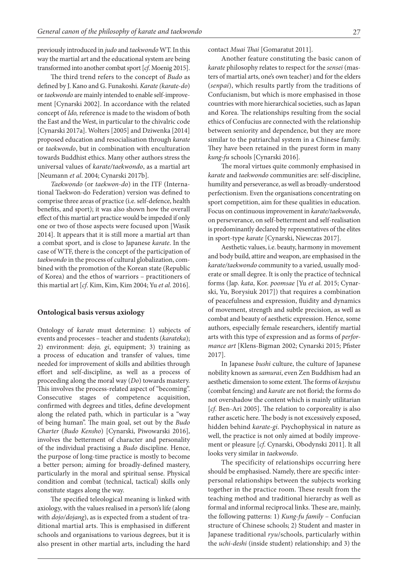previously introduced in *judo* and *taekwondo* WT. In this way the martial art and the educational system are being transformed into another combat sport [*cf*. Moenig 2015].

The third trend refers to the concept of *Budo* as defined by J. Kano and G. Funakoshi. *Karate (karate-do*) or *taekwondo* are mainly intended to enable self-improvement [Cynarski 2002]. In accordance with the related concept of *Ido,* reference is made to the wisdom of both the East and the West, in particular to the chivalric code [Cynarski 2017a]. Wolters [2005] and Dziwenka [2014] proposed education and resocialisation through *karate* or *taekwondo*, but in combination with enculturation towards Buddhist ethics. Many other authors stress the universal values of *karate/taekwondo*, as a martial art [Neumann *et al*. 2004; Cynarski 2017b].

*Taekwondo* (or *taekwon-do*) in the ITF (International Taekwon-do Federation) version was defined to comprise three areas of practice (i.e. self-defence, health benefits, and sport); it was also shown how the overall effect of this martial art practice would be impeded if only one or two of those aspects were focused upon [Wasik 2014]. It appears that it is still more a martial art than a combat sport, and is close to Japanese *karate*. In the case of WTF, there is the concept of the participation of *taekwondo* in the process of cultural globalization, combined with the promotion of the Korean state (Republic of Korea) and the ethos of warriors – practitioners of this martial art [*cf*. Kim, Kim, Kim 2004; Yu *et al*. 2016].

#### **Ontological basis versus axiology**

Ontology of *karate* must determine: 1) subjects of events and processes – teacher and students (*karateka*); 2) environment: *dojo, gi*, equipment; 3) training as a process of education and transfer of values, time needed for improvement of skills and abilities through effort and self-discipline, as well as a process of proceeding along the moral way (*Do*) towards mastery. This involves the process-related aspect of "becoming". Consecutive stages of competence acquisition, confirmed with degrees and titles, define development along the related path, which in particular is a "way of being human". The main goal, set out by the *Budo Charter* (*Budo Kensho*) [Cynarski, Piwowarski 2016], involves the betterment of character and personality of the individual practising a *Budo* discipline. Hence, the purpose of long-time practice is mostly to become a better person; aiming for broadly-defined mastery, particularly in the moral and spiritual sense. Physical condition and combat (technical, tactical) skills only constitute stages along the way.

The specified teleological meaning is linked with axiology, with the values realised in a person's life (along with *dojo/dojang*), as is expected from a student of traditional martial arts. This is emphasised in different schools and organisations to various degrees, but it is also present in other martial arts, including the hard contact *Muai Thai* [Gomaratut 2011].

Another feature constituting the basic canon of *karate* philosophy relates to respect for the *sensei* (masters of martial arts, one's own teacher) and for the elders (*senpai*), which results partly from the traditions of Confucianism, but which is more emphasised in those countries with more hierarchical societies, such as Japan and Korea. The relationships resulting from the social ethics of Confucius are connected with the relationship between seniority and dependence, but they are more similar to the patriarchal system in a Chinese family. They have been retained in the purest form in many *kung-fu* schools [Cynarski 2016].

The moral virtues quite commonly emphasised in *karate* and *taekwondo* communities are: self-discipline, humility and perseverance, as well as broadly-understood perfectionism. Even the organisations concentrating on sport competition, aim for these qualities in education. Focus on continuous improvement in *karate/taekwondo*, on perseverance, on self-betterment and self-realisation is predominantly declared by representatives of the elites in sport-type *karate* [Cynarski, Niewczas 2017].

Aesthetic values, i.e. beauty, harmony in movement and body build, attire and weapon, are emphasised in the *karate/taekwondo* community to a varied, usually moderate or small degree. It is only the practice of technical forms (Jap. *kata*, Kor. *poomsae* [Yu *et al*. 2015; Cynarski, Yu, Borysiuk 2017]) that requires a combination of peacefulness and expression, fluidity and dynamics of movement, strength and subtle precision, as well as combat and beauty of aesthetic expression. Hence, some authors, especially female researchers, identify martial arts with this type of expression and as forms of *performance art* [Klens-Bigman 2002; Cynarski 2015; Pfister 2017].

In Japanese *bushi* culture, the culture of Japanese nobility known as *samurai*, even Zen Buddhism had an aesthetic dimension to some extent. The forms of *kenjutsu* (combat fencing) and *karate* are not florid; the forms do not overshadow the content which is mainly utilitarian [*cf*. Ben-Ari 2005]. The relation to corporeality is also rather ascetic here. The body is not excessively exposed, hidden behind *karate-gi*. Psychophysical in nature as well, the practice is not only aimed at bodily improvement or pleasure [*cf*. Cynarski, Obodynski 2011]. It all looks very similar in *taekwondo*.

The specificity of relationships occurring here should be emphasised. Namely, there are specific interpersonal relationships between the subjects working together in the practice room. These result from the teaching method and traditional hierarchy as well as formal and informal reciprocal links. These are, mainly, the following patterns: 1) *Kung-fu family* – Confucian structure of Chinese schools; 2) Student and master in Japanese traditional *ryu*/schools, particularly within the *uchi-deshi* (inside student) relationship; and 3) the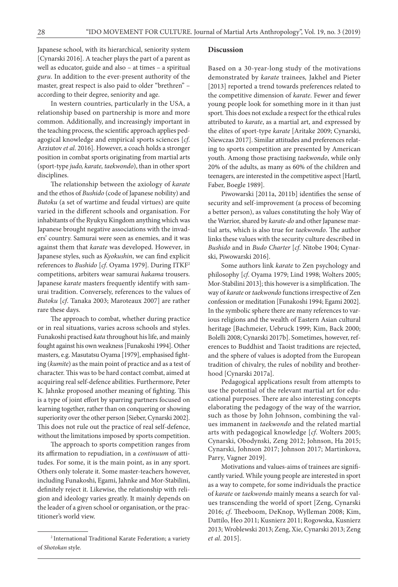Japanese school, with its hierarchical, seniority system [Cynarski 2016]. A teacher plays the part of a parent as well as educator, guide and also – at times – a spiritual *guru*. In addition to the ever-present authority of the master, great respect is also paid to older "brethren" – according to their degree, seniority and age.

In western countries, particularly in the USA, a relationship based on partnership is more and more common. Additionally, and increasingly important in the teaching process, the scientific approach applies pedagogical knowledge and empirical sports sciences [*cf*. Arziutov *et al*. 2016]. However, a coach holds a stronger position in combat sports originating from martial arts (sport-type *judo, karate, taekwondo*), than in other sport disciplines.

The relationship between the axiology of *karate* and the ethos of *Bushido* (code of Japanese nobility) and *Butoku* (a set of wartime and feudal virtues) are quite varied in the different schools and organisation. For inhabitants of the Ryukyu Kingdom anything which was Japanese brought negative associations with the invaders' country. Samurai were seen as enemies, and it was against them that *karate* was developed. However, in Japanese styles, such as *Kyokushin*, we can find explicit references to *Bushido* [*cf*. Oyama 1979]. During ITKF2 competitions, arbiters wear samurai *hakama* trousers. Japanese *karate* masters frequently identify with samurai tradition. Conversely, references to the values of *Butoku* [*cf*. Tanaka 2003; Maroteaux 2007] are rather rare these days.

The approach to combat, whether during practice or in real situations, varies across schools and styles. Funakoshi practised *kata* throughout his life, and mainly fought against his own weakness [Funakoshi 1994]. Other masters, e.g. Masutatsu Oyama [1979], emphasised fighting (*kumite*) as the main point of practice and as a test of character. This was to be hard contact combat, aimed at acquiring real self-defence abilities. Furthermore, Peter K. Jahnke proposed another meaning of fighting. This is a type of joint effort by sparring partners focused on learning together, rather than on conquering or showing superiority over the other person [Sieber, Cynarski 2002]. This does not rule out the practice of real self-defence, without the limitations imposed by sports competition.

The approach to sports competition ranges from its affirmation to repudiation, in a *continuum* of attitudes. For some, it is the main point, as in any sport. Others only tolerate it. Some master-teachers however, including Funakoshi, Egami, Jahnke and Mor-Stabilini, definitely reject it. Likewise, the relationship with religion and ideology varies greatly. It mainly depends on the leader of a given school or organisation, or the practitioner's world view.

#### **Discussion**

Based on a 30-year-long study of the motivations demonstrated by *karate* trainees*,* Jakhel and Pieter [2013] reported a trend towards preferences related to the competitive dimension of *karate*. Fewer and fewer young people look for something more in it than just sport. This does not exclude a respect for the ethical rules attributed to *karate*, as a martial art, and expressed by the elites of sport-type *karate* [Aritake 2009; Cynarski, Niewczas 2017]. Similar attitudes and preferences relating to sports competition are presented by American youth. Among those practising *taekwondo*, while only 20% of the adults, as many as 60% of the children and teenagers, are interested in the competitive aspect [Hartl, Faber, Boegle 1989].

Piwowarski [2011a, 2011b] identifies the sense of security and self-improvement (a process of becoming a better person), as values constituting the holy Way of the Warrior, shared by *karate-do* and other Japanese martial arts, which is also true for *taekwondo*. The author links these values with the security culture described in *Bushido* and in *Budo Charter* [*cf*. Nitobe 1904; Cynarski, Piwowarski 2016].

Some authors link *karate* to Zen psychology and philosophy [*cf*. Oyama 1979; Lind 1998; Wolters 2005; Mor-Stabilini 2013]; this however is a simplification. The way of *karate* or *taekwondo* functions irrespective of Zen confession or meditation [Funakoshi 1994; Egami 2002]. In the symbolic sphere there are many references to various religions and the wealth of Eastern Asian cultural heritage [Bachmeier, Uebruck 1999; Kim, Back 2000; Bolelli 2008; Cynarski 2017b]. Sometimes, however, references to Buddhist and Taoist traditions are rejected, and the sphere of values is adopted from the European tradition of chivalry, the rules of nobility and brotherhood [Cynarski 2017a].

Pedagogical applications result from attempts to use the potential of the relevant martial art for educational purposes. There are also interesting concepts elaborating the pedagogy of the way of the warrior, such as those by John Johnson, combining the values immanent in *taekwondo* and the related martial arts with pedagogical knowledge [*cf*. Wolters 2005; Cynarski, Obodynski, Zeng 2012; Johnson, Ha 2015; Cynarski, Johnson 2017; Johnson 2017; Martinkova, Parry, Vagner 2019].

Motivations and values-aims of trainees are significantly varied. While young people are interested in sport as a way to compete, for some individuals the practice of *karate* or *taekwondo* mainly means a search for values transcending the world of sport [Zeng, Cynarski 2016; *cf*. Theeboom, DeKnop, Wylleman 2008; Kim, Dattilo, Heo 2011; Kusnierz 2011; Rogowska, Kusnierz 2013; Wroblewski 2013; Zeng, Xie, Cynarski 2013; Zeng *et al*. 2015].

<sup>2</sup> International Traditional Karate Federation; a variety of *Shotokan* style.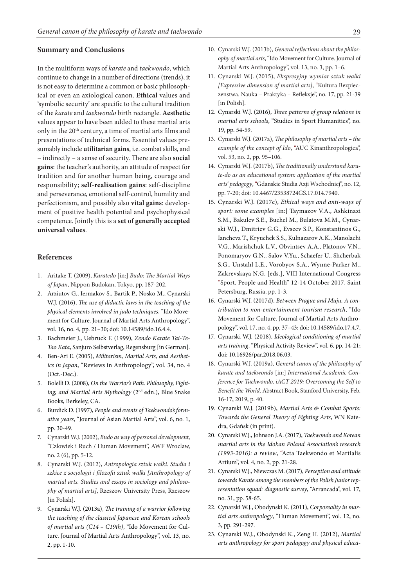#### **Summary and Conclusions**

In the multiform ways of *karate* and *taekwondo*, which continue to change in a number of directions (trends), it is not easy to determine a common or basic philosophical or even an axiological canon. **Ethical** values and 'symbolic security' are specific to the cultural tradition of the *karate* and *taekwondo* birth rectangle. **Aesthetic** values appear to have been added to these martial arts only in the 20<sup>th</sup> century, a time of martial arts films and presentations of technical forms. Essential values presumably include **utilitarian gains**, i.e. combat skills, and – indirectly – a sense of security. There are also **social gains**: the teacher's authority, an attitude of respect for tradition and for another human being, courage and responsibility; **self-realisation gains**: self-discipline and perseverance, emotional self-control, humility and perfectionism, and possibly also **vital gains**: development of positive health potential and psychophysical competence. Jointly this is a **set of generally accepted universal values**.

### **References**

- 1. Aritake T. (2009), *Karatedo* [in:] *Budo: The Martial Ways of Japan*, Nippon Budokan, Tokyo, pp. 187-202.
- 2. Arziutov G., Iermakov S., Bartik P., Nosko M., Cynarski W.J. (2016), *The use of didactic laws in the teaching of the physical elements involved in judo techniques*, "Ido Movement for Culture. Journal of Martial Arts Anthropology", vol. 16, no. 4, pp. 21–30; doi: 10.14589/ido.16.4.4.
- 3. Bachmeier J., Uebruck F. (1999), *Zendo Karate Tai-Te-Tao Kata*, Sanjuro Selbstverlag, Regensburg [in German].
- 4. Ben-Ari E. (2005), *Militarism, Martial Arts, and Aesthetics in Japan*, "Reviews in Anthropology", vol. 34, no. 4 (Oct.-Dec.).
- 5. Bolelli D. (2008), *On the Warrior's Path. Philosophy, Fight*ing, and Martial Arts Mythology (2<sup>nd</sup> edn.), Blue Snake Books, Berkeley, CA.
- 6. Burdick D. (1997), *People and events of Taekwondo's formative years*, "Journal of Asian Martial Arts", vol. 6, no. 1, pp. 30-49.
- 7. Cynarski W.J. (2002), *Budo as way of personal development*, "Czlowiek i Ruch / Human Movement", AWF Wroclaw, no. 2 (6), pp. 5-12.
- 8. Cynarski W.J. (2012), *Antropologia sztuk walki. Studia i szkice z socjologii i filozofii sztuk walki [Anthropology of martial arts. Studies and essays in sociology and philosophy of martial arts]*, Rzeszow University Press, Rzeszow [in Polish].
- 9. Cynarski W.J. (2013a), *The training of a warrior following the teaching of the classical Japanese and Korean schools of martial arts (C14 – C19th)*, "Ido Movement for Culture. Journal of Martial Arts Anthropology", vol. 13, no. 2, pp. 1-10.
- 10. Cynarski W.J. (2013b), *General reflections about the philosophy of martial arts*, "Ido Movement for Culture. Journal of Martial Arts Anthropology", vol. 13, no. 3, pp. 1–6.
- 11. Cynarski W.J. (2015), *Ekspresyjny wymiar sztuk walki [Expressive dimension of martial arts]*, "Kultura Bezpieczenstwa. Nauka – Praktyka – Refleksje", no. 17, pp. 21-39 [in Polish].
- 12. Cynarski W.J. (2016), *Three patterns of group relations in martial arts schools*, "Studies in Sport Humanities", no. 19, pp. 54-59.
- 13. Cynarski W.J. (2017a), *The philosophy of martial arts the example of the concept of Ido*, "AUC Kinanthropologica", vol. 53, no. 2, pp. 95–106.
- 14. Cynarski W.J. (2017b), *The traditionally understand karate-do as an educational system: application of the martial arts' pedagogy*, "Gdanskie Studia Azji Wschodniej", no. 12, pp. 7-20; doi: 10.4467/23538724GS.17.014.7940.
- 15. Cynarski W.J. (2017c), *Ethical ways and anti-ways of sport: some examples* [in:] Taymazov V.A., Ashkinazi S.M., Bakulev S.E., Buchel M., Bulatova M.M., Cynarski W.J., Dmitriev G.G., Evseev S.P., Konstantinos G., Iancheva T., Kryuchek S.S., Kulnazarov A.K., Manolachi V.G., Marishchuk L.V., Obvintsev A.A., Platonov V.N., Ponomaryov G.N., Salov V.Yu., Schaefer U., Shcherbak S.G., Unstahl L.E., Vorobyov S.A., Wynne-Parker M., Zakrevskaya N.G. [eds.], VIII International Congress "Sport, People and Health" 12-14 October 2017, Saint Petersburg, Russia, pp. 1-3.
- 16. Cynarski W.J. (2017d), *Between Prague and Muju. A contribution to non-entertainment tourism research*, "Ido Movement for Culture. Journal of Martial Arts Anthropology", vol. 17, no. 4, pp. 37–43; doi: 10.14589/ido.17.4.7.
- 17. Cynarski W.J. (2018), *Ideological conditioning of martial arts training*, "Physical Activity Review", vol. 6, pp. 14-21; doi: 10.16926/par.2018.06.03.
- 18. Cynarski W.J. (2019a), *General canon of the philosophy of karate and taekwondo* [in:] *International Academic Conference for Taekwondo, iACT 2019: Overcoming the Self to Benefit the World*. Abstract Book, Stanford University, Feb. 16-17, 2019, p. 40.
- 19. Cynarski W.J. (2019b), *Martial Arts & Combat Sports: Towards the General Theory of Fighting Arts*, WN Katedra, Gdańsk (in print).
- 20. Cynarski W.J., Johnson J.A. (2017), *Taekwondo and Korean martial arts in the Idokan Poland Association's research (1993-2016): a review*, "Acta Taekwondo et Martialis Artium", vol. 4, no. 2, pp. 21-28.
- 21. Cynarski W.J., Niewczas M. (2017), *Perception and attitude towards Karate among the members of the Polish Junior representation squad: diagnostic survey*, "Arrancada", vol. 17, no. 31, pp. 58-65.
- 22. Cynarski W.J., Obodynski K. (2011), *Corporeality in martial arts anthropology*, "Human Movement", vol. 12, no. 3, pp. 291-297.
- 23. Cynarski W.J., Obodynski K., Zeng H. (2012), *Martial arts anthropology for sport pedagogy and physical educa-*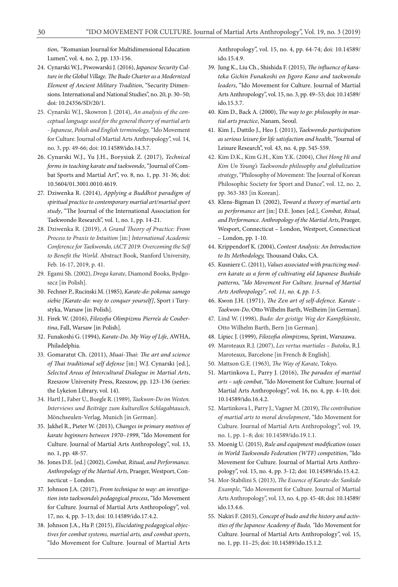*tion*, "Romanian Journal for Multidimensional Education Lumen", vol. 4, no. 2, pp. 133-156.

- 24. Cynarski W.J., Piwowarski J. (2016), *Japanese Security Culture in the Global Village. The Budo Charter as a Modernized Element of Ancient Military Tradition*, "Security Dimensions. International and National Studies", no. 20, p. 30–50; doi: 10.24356/SD/20/1.
- 25. Cynarski W.J., Skowron J. (2014), *An analysis of the conceptual language used for the general theory of martial arts - Japanese, Polish and English terminology,* "Ido Movement for Culture. Journal of Martial Arts Anthropology", vol. 14, no. 3, pp. 49-66; doi: 10.14589/ido.14.3.7.
- 26. Cynarski W.J., Yu J.H., Borysiuk Z. (2017), *Technical forms in teaching karate and taekwondo*, "Journal of Combat Sports and Martial Art", vo. 8, no. 1, pp. 31-36; doi: 10.5604/01.3001.0010.4619.
- 27. Dziwenka R. (2014), *Applying a Buddhist paradigm of spiritual practice to contemporary martial art/martial sport study*, "The Journal of the International Association for Taekwondo Research", vol. 1, no. 1, pp. 14-21.
- 28. Dziwenka R. (2019), *A Grand Theory of Practice: From Process to Praxis to Intuition* [in:] *International Academic Conference for Taekwondo, iACT 2019: Overcoming the Self to Benefit the World*. Abstract Book, Stanford University, Feb. 16-17, 2019, p. 41.
- 29. Egami Sh. (2002), *Droga karate*, Diamond Books, Bydgoszcz [in Polish].
- 30. Fechner P., Rucinski M. (1985), *Karate-do: pokonac samego siebie [Karate-do: way to conquer yourself]*, Sport i Turystyka, Warsaw [in Polish].
- 31. Firek W. (2016), *Filozofia Olimpizmu Pierre'a de Coubertina*, Fall, Warsaw [in Polish].
- 32. Funakoshi G. (1994), *Karate-Do. My Way of Life*, AWHA, Philadelphia.
- 33. Gomaratut Ch. (2011), *Muai-Thai: The art and science of Thai traditional self defense* [in:] W.J. Cynarski [ed.], *Selected Areas of Intercultural Dialogue in Martial Arts*, Rzeszow University Press, Rzeszow, pp. 123-136 (series: the Lykeion Library, vol. 14).
- 34. Hartl J., Faber U., Boegle R. (1989), *Taekwon-Do im Westen. Interviews und Beiträge zum kulturellen Schlagabtausch*, Mönchseulen-Verlag, Munich [in German].
- 35. Jakhel R., Pieter W. (2013), *Changes in primary motives of karate beginners between 1970–1999*, "Ido Movement for Culture. Journal of Martial Arts Anthropology", vol. 13, no. 1, pp. 48-57.
- 36. Jones D.E. [ed.] (2002), *Combat, Ritual, and Performance. Anthropology of the Martial Arts*, Praeger, Westport, Connecticut – London.
- 37. Johnson J.A. (2017), *From technique to way: an investigation into taekwondo's pedagogical process*, "Ido Movement for Culture. Journal of Martial Arts Anthropology", vol. 17, no. 4, pp. 3–13; doi: 10.14589/ido.17.4.2.
- 38. Johnson J.A., Ha P. (2015), *Elucidating pedagogical objectives for combat systems, martial arts, and combat sports*, "Ido Movement for Culture. Journal of Martial Arts

Anthropology", vol. 15, no. 4, pp. 64-74; doi: 10.14589/ ido.15.4.9.

- 39. Jung K., Liu Ch., Shishida F. (2015), *The influence of karateka Gichin Funakoshi on Jigoro Kano and taekwondo leaders*, "Ido Movement for Culture. Journal of Martial Arts Anthropology", vol. 15, no. 3, pp. 49–53; doi: 10.14589/ ido.15.3.7.
- 40. Kim D., Back A. (2000), *The way to go: philosophy in martial arts practice*, Nanam, Seoul.
- 41. Kim J., Dattilo J., Heo J. (2011), *Taekwondo participation as serious leisure for life satisfaction and health*, "Journal of Leisure Research", vol. 43, no. 4, pp. 545-559.
- 42. Kim D.K., Kim G.H., Kim Y.K. (2004), *Choi Hong Hi and Kim Un Young's Taekwondo philosophy and globalization strategy*, "Philosophy of Movement: The Journal of Korean Philosophic Society for Sport and Dance", vol. 12, no. 2, pp. 363-383 [in Korean].
- 43. Klens-Bigman D. (2002), *Toward a theory of martial arts as performance art* [in:] D.E. Jones [ed.], *Combat, Ritual, and Performance. Anthropology of the Martial Arts*, Praeger, Wesport, Connecticut – London, Westport, Connecticut – London, pp. 1-10.
- 44. Krippendorf K. (2004), *Content Analysis: An Introduction to Its Methodology,* Thousand Oaks, CA.
- 45. Kusnierz C. (2011), *Values associated with practicing modern karate as a form of cultivating old Japanese Bushido patterns, "Ido Movement For Culture. Journal of Martial Arts Anthropology", vol. 11, no. 4, pp. 1-5.*
- 46. Kwon J.H. (1971), *The Zen art of self-defence. Karate Taekwon-Do*, Otto Wilhelm Barth, Weilheim [in German].
- 47. Lind W. (1998), *Budo: der geistige Weg der Kampfkünste*, Otto Wilhelm Barth, Bern [in German].
- 48. Lipiec J. (1999), *Filozofia olimpizmu*, Sprint, Warszawa.
- 49. Maroteaux R.J. (2007), *Les vertus martiales Butoku*, R.J. Maroteaux, Barcelone [in French & English].
- 50. Mattson G.E. (1963), *The Way of Karate*, Tokyo.
- 51. Martinkova I., Parry J. (2016), *The paradox of martial arts – safe combat*, "Ido Movement for Culture. Journal of Martial Arts Anthropology", vol. 16, no. 4, pp. 4–10; doi: 10.14589/ido.16.4.2.
- 52. Martinkova I., Parry J., Vagner M. (2019), *The contribution of martial arts to moral development*, "Ido Movement for Culture. Journal of Martial Arts Anthropology", vol. 19, no. 1, pp. 1–8; doi: 10.14589/ido.19.1.1.
- 53. Moenig U. (2015), *Rule and equipment modification issues in World Taekwondo Federation (WTF) competition*, "Ido Movement for Culture. Journal of Martial Arts Anthropology", vol. 15, no. 4, pp. 3-12; doi: 10.14589/ido.15.4.2.
- 54. Mor-Stabilini S. (2013), *The Essence of Karate-do: Sankido Example*, "Ido Movement for Culture. Journal of Martial Arts Anthropology", vol. 13, no. 4, pp. 45-48; doi: 10.14589/ ido.13.4.6.
- 55. Nakiri F. (2015), *Concept of budo and the history and activities of the Japanese Academy of Budo, "*Ido Movement for Culture. Journal of Martial Arts Anthropology", vol. 15, no. 1, pp. 11–25; doi: 10.14589/ido.15.1.2.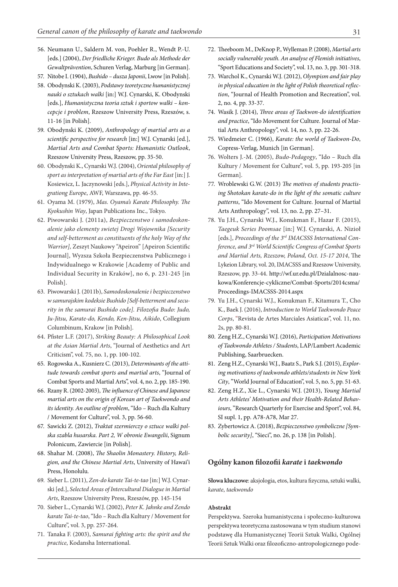- 56. Neumann U., Saldern M. von, Poehler R., Wendt P.-U. [eds.] (2004), *Der friedliche Krieger. Budo als Methode der Gewaltprävention*, Schuren Verlag, Marburg [in German].
- 57. Nitobe I. (1904), *Bushido dusza Japonii*, Lwow [in Polish].
- 58. Obodynski K. (2003), *Podstawy teoretyczne humanistycznej nauki o sztukach walki* [in:] W.J. Cynarski, K. Obodynski [eds.], *Humanistyczna teoria sztuk i sportow walki – koncepcje i problem*, Rzeszow University Press, Rzeszów, s. 11-16 [in Polish].
- 59. Obodynski K. (2009), *Anthropology of martial arts as a scientific perspective for research* [in:] W.J. Cynarski [ed.], *Martial Arts and Combat Sports: Humanistic Outlook*, Rzeszow University Press, Rzeszow, pp. 35-50.
- 60. Obodynski K., Cynarski W.J. (2004), *Oriental philosophy of sport as interpretation of martial arts of the Far East* [in:] J. Kosiewicz, L. Jaczynowski [eds.], *Physical Activity in Integrationg Europe*, AWF, Warszawa, pp. 46-55.
- 61. Oyama M. (1979), *Mas. Oyama's Karate Philosophy. The Kyokushin Way*, Japan Publications Inc., Tokyo.
- 62. Piwowarski J. (2011a), *Bezpieczenstwo i samodoskonalenie jako elementy swietej Drogi Wojownika [Security and self-betterment as constituents of the holy Way of the Warrior],* Zeszyt Naukowy "Apeiron" [Apeiron Scientific Journal], Wyzsza Szkoła Bezpieczenstwa Publicznego i Indywidualnego w Krakowie [Academy of Public and Individual Security in Kraków], no 6, p. 231-245 [in Polish].
- 63. Piwowarski J. (2011b), *Samodoskonalenie i bezpieczenstwo w samurajskim kodeksie Bushido [Self-betterment and security in the samurai Bushido code]. Filozofia Budo: Judo, Ju-Jitsu, Karate-do, Kendo, Ken-Jitsu, Aikido*, Collegium Columbinum, Krakow [in Polish].
- 64. Pfister L.F. (2017), *Striking Beauty: A Philosophical Look at the Asian Martial Arts*, "Journal of Aesthetics and Art Criticism", vol. 75, no. 1, pp. 100-102.
- 65. Rogowska A., Kusnierz C. (2013), *Determinants of the attitude towards combat sports and martial arts*, "Journal of Combat Sports and Martial Arts", vol. 4, no. 2, pp. 185-190.
- 66. Rzany R. (2002-2003), *The influence of Chinese and Japanese martial arts on the origin of Korean art of Taekwondo and its identity. An outline of problem*, "Ido – Ruch dla Kultury / Movement for Culture", vol. 3, pp. 56-60.
- 67. Sawicki Z. (2012), *Traktat szermierczy o sztuce walki polska szabla husarska. Part 2, W obronie Ewangelii*, Signum Polonicum, Zawiercie [in Polish].
- 68. Shahar M. (2008), *The Shaolin Monastery. History, Religion, and the Chinese Martial Arts*, University of Hawai'i Press, Honolulu.
- 69. Sieber L. (2011), *Zen-do karate Tai-te-tao* [in:] W.J. Cynarski [ed.], *Selected Areas of Intercultural Dialogue in Martial Arts*, Rzeszow University Press, Rzeszów, pp. 145-154
- 70. Sieber L., Cynarski W.J. (2002), *Peter K. Jahnke and Zendo karate Tai-te-tao*, "Ido – Ruch dla Kultury / Movement for Culture", vol. 3, pp. 257-264.
- 71. Tanaka F. (2003), *Samurai fighting arts: the spirit and the practice*, Kodansha International.
- 72. Theeboom M., DeKnop P., Wylleman P. (2008), *Martial arts socially vulnerable youth. An analyse of Flemish initiatives*, "Sport Educations and Society", vol. 13, no. 3, pp. 301-318.
- 73. Warchol K., Cynarski W.J. (2012), *Olympism and fair play in physical education in the light of Polish theoretical reflection*, "Journal of Health Promotion and Recreation", vol. 2, no. 4, pp. 33-37.
- 74. Wasik J. (2014), *Three areas of Taekwon-do identification and practice*, "Ido Movement for Culture. Journal of Martial Arts Anthropology", vol. 14, no. 3, pp. 22-26.
- 75. Wiedmeier C. (1966), *Karate: the world of Taekwon-Do*, Copress-Verlag, Munich [in German].
- 76. Wolters J.-M. (2005), *Budo-Pedagogy*, "Ido Ruch dla Kultury / Movement for Culture", vol. 5, pp. 193-205 [in German].
- 77. Wroblewski G.W. (2013) *The motives of students practising Shotokan karate-do in the light of the somatic culture patterns*, "Ido Movement for Culture. Journal of Martial Arts Anthropology", vol. 13, no. 2, pp. 27–31.
- 78. Yu J.H., Cynarski W.J., Konukman F., Hazar F. (2015), *Taegeuk Series Poomsae* [in:] W.J. Cynarski, A. Nizioł [eds.], *Proceedings of the 3rd IMACSSS International Conference, and 3rd World Scientific Congress of Combat Sports and Martial Arts, Rzeszow, Poland, Oct. 15-17 2014*, The Lykeion Library, vol. 20, IMACSSS and Rzeszow University, Rzeszow, pp. 33-44. http://wf.ur.edu.pl/Dzialalnosc-naukowa/Konferencje-cykliczne/Combat-Sports/2014csma/ Proceedings-IMACSSS-2014.aspx
- 79. Yu J.H., Cynarski W.J., Konukman F., Kitamura T., Cho K., Baek J. (2016), *Introduction to World Taekwondo Peace Corps*, "Revista de Artes Marciales Asiaticas", vol. 11, no. 2s, pp. 80-81.
- 80. Zeng H.Z., Cynarski W.J. (2016), *Participation Motivations of Taekwondo Athletes / Students*, LAP/Lambert Academic Publishing, Saarbruecken.
- 81. Zeng H.Z., Cynarski W.J., Baatz S., Park S.J. (2015), *Exploring motivations of taekwondo athlets/students in New York City*, "World Journal of Education", vol. 5, no. 5, pp. 51-63.
- 82. Zeng H.Z., Xie L., Cynarski W.J. (2013), *Young Martial Arts Athletes' Motivation and their Health-Related Behaviours*, "Research Quarterly for Exercise and Sport", vol. 84, SI supl. 1, pp. A78-A78, Mar 27.
- 83. Zybertowicz A. (2018), *Bezpieczenstwo symboliczne [Symbolic security]*, "Sieci", no. 26, p. 138 [in Polish].

## **Ogólny kanon filozofii** *karate* **i** *taekwondo*

**Słowa kluczowe**: aksjologia, etos, kultura fizyczna, sztuki walki, *karate*, *taekwondo*

#### **Abstrakt**

Perspektywa. Szeroka humanistyczna i społeczno-kulturowa perspektywa teoretyczna zastosowana w tym studium stanowi podstawę dla Humanistycznej Teorii Sztuk Walki, Ogólnej Teorii Sztuk Walki oraz filozoficzno-antropologicznego pode